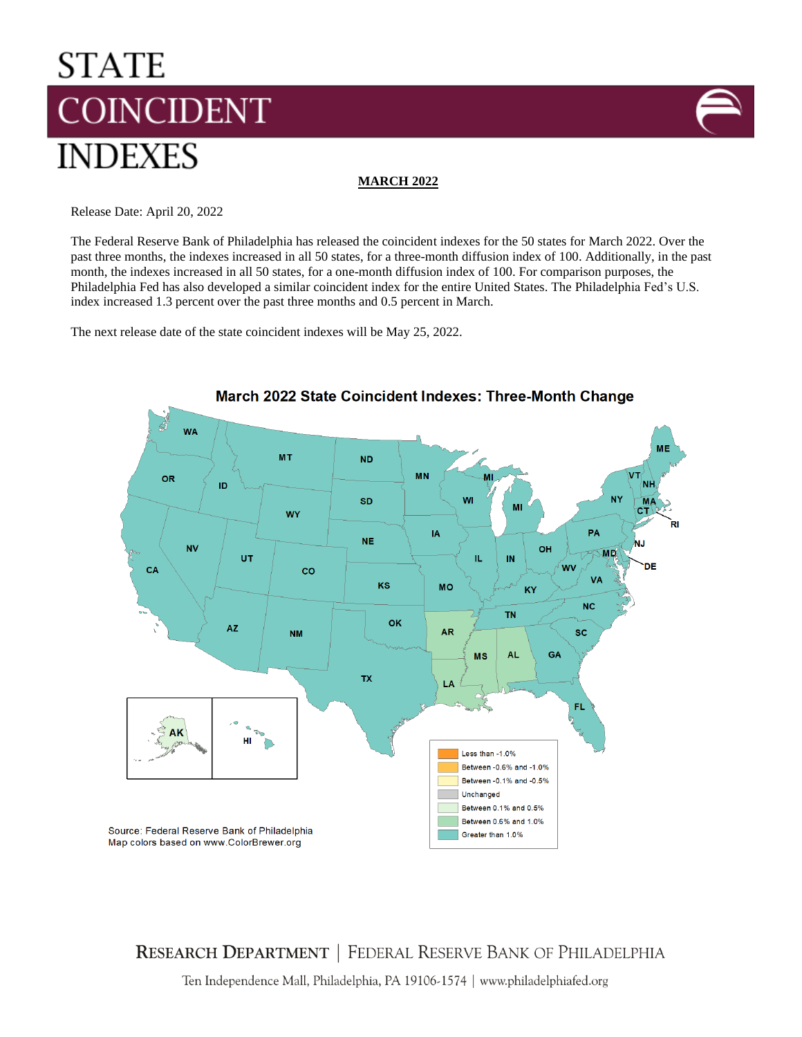# **STATE COINCIDENT INDEXES**



## **MARCH 2022**

Release Date: April 20, 2022

The Federal Reserve Bank of Philadelphia has released the coincident indexes for the 50 states for March 2022. Over the past three months, the indexes increased in all 50 states, for a three-month diffusion index of 100. Additionally, in the past month, the indexes increased in all 50 states, for a one-month diffusion index of 100. For comparison purposes, the Philadelphia Fed has also developed a similar coincident index for the entire United States. The Philadelphia Fed's U.S. index increased 1.3 percent over the past three months and 0.5 percent in March.

The next release date of the state coincident indexes will be May 25, 2022.



**RESEARCH DEPARTMENT | FEDERAL RESERVE BANK OF PHILADELPHIA** 

Ten Independence Mall, Philadelphia, PA 19106-1574 | www.philadelphiafed.org